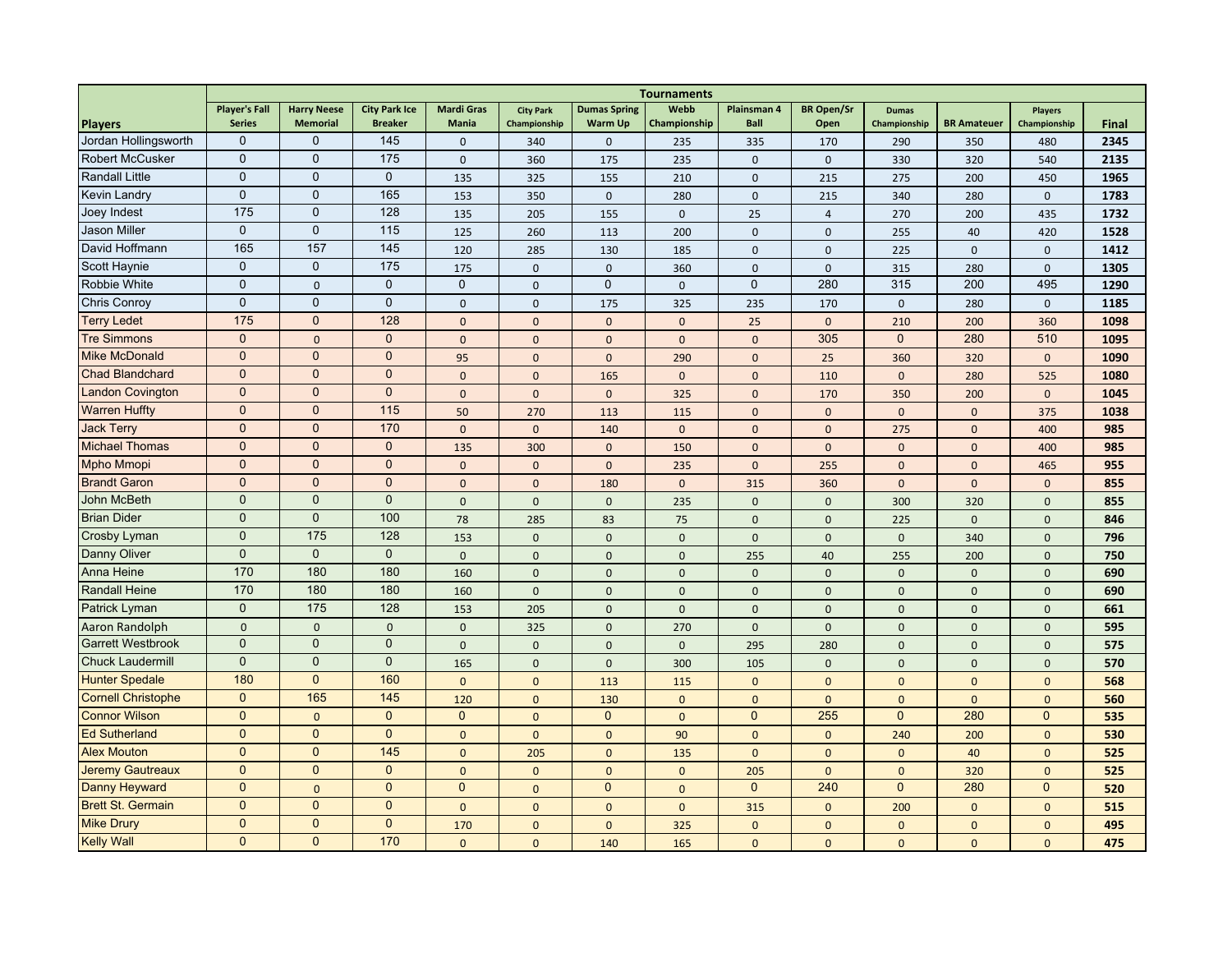|                           | <b>Tournaments</b>   |                    |                      |                   |                  |                     |              |                    |                   |              |                    |                |              |
|---------------------------|----------------------|--------------------|----------------------|-------------------|------------------|---------------------|--------------|--------------------|-------------------|--------------|--------------------|----------------|--------------|
|                           | <b>Player's Fall</b> | <b>Harry Neese</b> | <b>City Park Ice</b> | <b>Mardi Gras</b> | <b>City Park</b> | <b>Dumas Spring</b> | Webb         | <b>Plainsman 4</b> | <b>BR Open/Sr</b> | <b>Dumas</b> |                    | <b>Players</b> |              |
| <b>Players</b>            | <b>Series</b>        | <b>Memorial</b>    | <b>Breaker</b>       | <b>Mania</b>      | Championship     | <b>Warm Up</b>      | Championship | <b>Ball</b>        | Open              | Championship | <b>BR Amateuer</b> | Championship   | <b>Final</b> |
| Jordan Hollingsworth      | $\mathbf 0$          | $\mathbf{0}$       | 145                  | $\mathbf{0}$      | 340              | $\pmb{0}$           | 235          | 335                | 170               | 290          | 350                | 480            | 2345         |
| <b>Robert McCusker</b>    | $\mathbf 0$          | $\mathbf{0}$       | 175                  | $\mathbf{0}$      | 360              | 175                 | 235          | $\mathbf{0}$       | $\mathbf{0}$      | 330          | 320                | 540            | 2135         |
| <b>Randall Little</b>     | $\mathbf 0$          | $\mathbf{0}$       | $\mathbf{0}$         | 135               | 325              | 155                 | 210          | $\mathbf{0}$       | 215               | 275          | 200                | 450            | 1965         |
| Kevin Landry              | $\pmb{0}$            | $\mathbf 0$        | 165                  | 153               | 350              | $\mathbf 0$         | 280          | $\mathbf{0}$       | 215               | 340          | 280                | $\mathbf 0$    | 1783         |
| Joey Indest               | 175                  | $\mathbf 0$        | 128                  | 135               | 205              | 155                 | $\mathbf 0$  | 25                 | $\overline{4}$    | 270          | 200                | 435            | 1732         |
| <b>Jason Miller</b>       | $\mathbf 0$          | $\mathbf 0$        | 115                  | 125               | 260              | 113                 | 200          | $\Omega$           | $\mathbf 0$       | 255          | 40                 | 420            | 1528         |
| David Hoffmann            | 165                  | 157                | 145                  | 120               | 285              | 130                 | 185          | $\mathbf{0}$       | $\mathbf{0}$      | 225          | $\mathbf 0$        | $\mathbf{0}$   | 1412         |
| Scott Haynie              | $\mathbf 0$          | $\mathbf 0$        | 175                  | 175               | $\mathbf{0}$     | $\mathbf 0$         | 360          | $\mathbf{0}$       | $\mathbf{0}$      | 315          | 280                | $\mathbf 0$    | 1305         |
| Robbie White              | $\mathbf 0$          | $\mathbf 0$        | $\mathbf{0}$         | $\mathbf{0}$      | $\mathbf 0$      | $\mathbf 0$         | $\mathbf{0}$ | $\mathbf 0$        | 280               | 315          | 200                | 495            | 1290         |
| Chris Conroy              | $\mathbf 0$          | $\mathbf 0$        | $\pmb{0}$            | $\mathbf{0}$      | 0                | 175                 | 325          | 235                | 170               | $\mathbf 0$  | 280                | $\mathsf 0$    | 1185         |
| <b>Terry Ledet</b>        | 175                  | $\mathbf{0}$       | 128                  | $\Omega$          | $\mathbf{0}$     | $\mathbf{0}$        | $\mathbf{0}$ | 25                 | $\mathbf{0}$      | 210          | 200                | 360            | 1098         |
| <b>Tre Simmons</b>        | $\mathbf{0}$         | $\mathbf{0}$       | $\mathbf{0}$         | $\mathbf{0}$      | $\mathbf{0}$     | $\mathbf{0}$        | $\mathbf{0}$ | $\mathbf{0}$       | 305               | $\mathbf{0}$ | 280                | 510            | 1095         |
| <b>Mike McDonald</b>      | $\mathbf{0}$         | $\mathbf 0$        | $\mathbf{0}$         | 95                | $\mathbf{0}$     | $\mathbf{0}$        | 290          | $\mathbf{0}$       | 25                | 360          | 320                | $\mathbf{0}$   | 1090         |
| <b>Chad Blandchard</b>    | $\mathbf 0$          | $\mathbf{0}$       | $\mathbf{0}$         | $\mathbf{0}$      | $\overline{0}$   | 165                 | $\mathbf{0}$ | $\mathbf{0}$       | 110               | $\mathbf{0}$ | 280                | 525            | 1080         |
| <b>Landon Covington</b>   | $\mathbf{0}$         | $\mathbf{0}$       | $\mathbf{0}$         | $\Omega$          | $\Omega$         | $\Omega$            | 325          | $\Omega$           | 170               | 350          | 200                | $\mathbf 0$    | 1045         |
| <b>Warren Huffty</b>      | $\mathbf{0}$         | $\mathbf 0$        | 115                  | 50                | 270              | 113                 | 115          | $\Omega$           | $\mathbf{0}$      | $\mathbf{0}$ | $\Omega$           | 375            | 1038         |
| <b>Jack Terry</b>         | $\mathbf{0}$         | $\mathbf 0$        | 170                  | $\mathbf{0}$      | $\mathbf{0}$     | 140                 | $\mathbf{0}$ | $\mathbf{0}$       | $\mathbf{0}$      | 275          | $\mathbf{0}$       | 400            | 985          |
| <b>Michael Thomas</b>     | $\mathbf 0$          | $\mathbf{0}$       | $\mathbf 0$          | 135               | 300              | $\mathbf{0}$        | 150          | $\mathbf{0}$       | $\mathbf{0}$      | $\mathbf{0}$ | $\mathbf{0}$       | 400            | 985          |
| <b>Mpho Mmopi</b>         | $\mathbf{0}$         | $\mathbf{0}$       | $\mathbf{0}$         | $\overline{0}$    | $\mathbf 0$      | $\mathbf{0}$        | 235          | $\mathbf{0}$       | 255               | $\mathbf{0}$ | $\mathbf{0}$       | 465            | 955          |
| <b>Brandt Garon</b>       | $\mathbf{0}$         | $\mathbf{0}$       | $\overline{0}$       | $\mathbf{0}$      | $\overline{0}$   | 180                 | $\mathbf{0}$ | 315                | 360               | $\mathbf{0}$ | $\Omega$           | $\mathbf{0}$   | 855          |
| <b>John McBeth</b>        | $\mathbf 0$          | $\mathbf 0$        | $\mathbf{0}$         | $\mathbf{0}$      | $\mathbf{0}$     | $\mathbf{0}$        | 235          | $\Omega$           | $\mathbf{0}$      | 300          | 320                | $\mathbf{0}$   | 855          |
| <b>Brian Dider</b>        | $\mathbf 0$          | $\mathbf 0$        | 100                  | 78                | 285              | 83                  | 75           | $\mathbf{0}$       | $\mathbf{0}$      | 225          | $\mathbf{0}$       | $\mathbf{0}$   | 846          |
| Crosby Lyman              | $\mathbf 0$          | 175                | 128                  | 153               | $\mathbf{0}$     | $\mathbf{0}$        | $\mathbf 0$  | $\mathbf{0}$       | $\mathbf{0}$      | $\mathbf{0}$ | 340                | $\mathbf{0}$   | 796          |
| Danny Oliver              | $\mathbf 0$          | $\mathbf{0}$       | $\mathbf{0}$         | $\Omega$          | $\Omega$         | $\Omega$            | $\mathbf 0$  | 255                | 40                | 255          | 200                | $\Omega$       | 750          |
| Anna Heine                | 170                  | 180                | 180                  | 160               | $\mathbf{0}$     | $\mathbf{0}$        | $\mathbf{0}$ | $\Omega$           | $\mathbf{0}$      | $\mathbf{0}$ | $\Omega$           | $\Omega$       | 690          |
| <b>Randall Heine</b>      | 170                  | 180                | 180                  | 160               | $\mathbf{0}$     | $\mathbf{0}$        | $\mathbf{0}$ | $\mathbf{0}$       | $\mathbf{0}$      | $\mathbf{0}$ | $\mathbf{0}$       | $\mathbf{0}$   | 690          |
| Patrick Lyman             | $\mathbf{0}$         | 175                | 128                  | 153               | 205              | $\mathbf{0}$        | $\mathbf{0}$ | $\mathbf{0}$       | $\mathbf 0$       | $\mathbf{0}$ | $\mathbf{0}$       | $\mathbf{0}$   | 661          |
| Aaron Randolph            | $\mathbf{0}$         | $\mathbf{0}$       | $\mathbf{0}$         | $\mathbf{0}$      | 325              | $\mathbf{0}$        | 270          | $\mathbf{0}$       | $\mathbf{0}$      | $\mathbf{0}$ | $\mathbf{0}$       | $\mathbf{0}$   | 595          |
| <b>Garrett Westbrook</b>  | $\overline{0}$       | $\mathbf{0}$       | $\mathbf{0}$         | $\Omega$          | $\mathbf{0}$     | $\mathbf{0}$        | $\mathbf{0}$ | 295                | 280               | $\mathbf{0}$ | $\mathbf{0}$       | $\mathbf{0}$   | 575          |
| <b>Chuck Laudermill</b>   | $\mathbf{0}$         | $\mathbf{0}$       | $\mathbf{0}$         | 165               | $\mathbf 0$      | $\mathbf{0}$        | 300          | 105                | $\mathbf{0}$      | $\mathbf{0}$ | $\mathbf{0}$       | $\overline{0}$ | 570          |
| <b>Hunter Spedale</b>     | 180                  | $\mathbf{0}$       | 160                  | $\overline{0}$    | $\mathbf{0}$     | 113                 | 115          | $\mathbf{0}$       | $\mathbf{0}$      | $\mathbf{0}$ | $\mathbf{0}$       | $\overline{0}$ | 568          |
| <b>Cornell Christophe</b> | $\Omega$             | 165                | 145                  | 120               | $\overline{0}$   | 130                 | $\mathbf{0}$ | $\mathbf{0}$       | $\mathbf{0}$      | $\mathbf{0}$ | $\mathbf{0}$       | $\overline{0}$ | 560          |
| <b>Connor Wilson</b>      | $\mathbf{0}$         | $\Omega$           | $\Omega$             | $\mathbf{0}$      | $\Omega$         | $\overline{0}$      | $\mathbf{0}$ | $\mathbf{0}$       | 255               | $\mathbf{0}$ | 280                | $\overline{0}$ | 535          |
| <b>Ed Sutherland</b>      | $\mathbf{0}$         | $\mathbf{0}$       | $\mathbf{0}$         | $\Omega$          | $\overline{0}$   | $\mathbf{0}$        | 90           | $\Omega$           | $\mathbf{0}$      | 240          | 200                | $\overline{0}$ | 530          |
| <b>Alex Mouton</b>        | $\mathbf{0}$         | $\mathbf{0}$       | 145                  | $\Omega$          | 205              | $\mathbf{0}$        | 135          | $\Omega$           | $\mathbf{0}$      | $\mathbf{0}$ | 40                 | $\overline{0}$ | 525          |
| <b>Jeremy Gautreaux</b>   | $\mathbf{0}$         | $\mathbf{0}$       | $\mathbf{0}$         | $\Omega$          | $\overline{0}$   | $\mathbf{0}$        | $\mathbf{0}$ | 205                | $\mathbf{0}$      | $\mathbf{0}$ | 320                | $\overline{0}$ | 525          |
| <b>Danny Heyward</b>      | $\Omega$             | $\mathbf{0}$       | $\Omega$             | $\Omega$          | $\overline{0}$   | $\overline{0}$      | $\mathbf{0}$ | $\mathbf{0}$       | 240               | $\mathbf{0}$ | 280                | $\Omega$       | 520          |
| <b>Brett St. Germain</b>  | $\mathbf{0}$         | $\mathbf{0}$       | $\mathbf{0}$         | $\Omega$          | $\overline{0}$   | $\mathbf{0}$        | $\mathbf{0}$ | 315                | $\mathbf{0}$      | 200          | $\Omega$           | $\Omega$       | 515          |
| <b>Mike Drury</b>         | $\mathbf{0}$         | $\mathbf{0}$       | $\overline{0}$       | 170               | $\overline{0}$   | $\mathbf{0}$        | 325          | $\mathbf{0}$       | $\mathbf{0}$      | $\mathbf{0}$ | $\mathbf{0}$       | $\overline{0}$ | 495          |
| <b>Kelly Wall</b>         | $\mathbf{0}$         | $\mathbf{0}$       | 170                  | $\Omega$          | $\Omega$         | 140                 | 165          | $\Omega$           | $\Omega$          | $\Omega$     | $\Omega$           | $\overline{0}$ | 475          |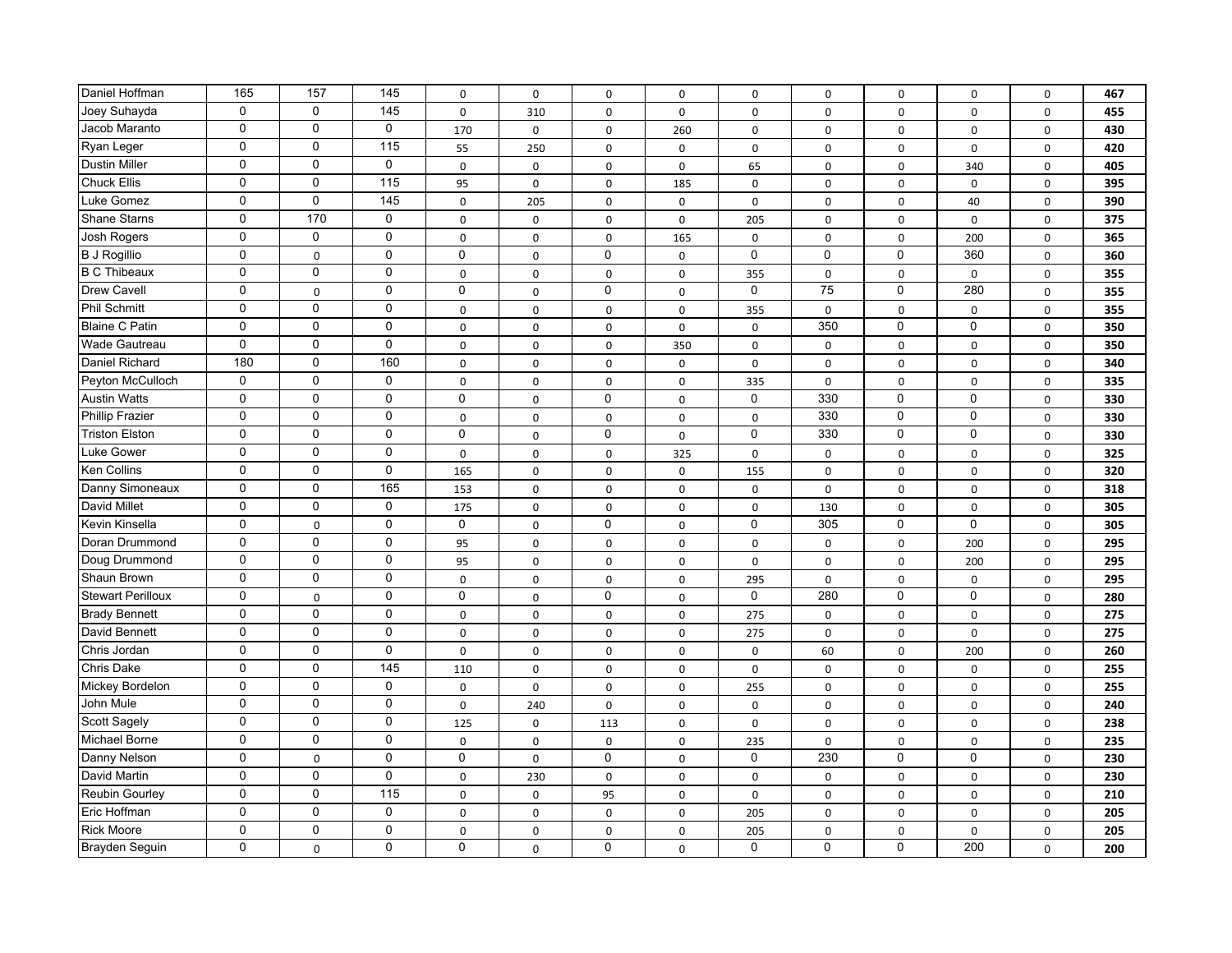| Daniel Hoffman           | 165          | 157          | 145               | $\mathsf 0$  | $\mathsf 0$ | $\mathsf 0$ | $\mathsf{o}$   | $\mathsf 0$ | $\mathbf 0$ | 0           | $\Omega$    | $\mathsf 0$ | 467 |
|--------------------------|--------------|--------------|-------------------|--------------|-------------|-------------|----------------|-------------|-------------|-------------|-------------|-------------|-----|
| Joey Suhayda             | $\mathbf{0}$ | $\Omega$     | 145               | $\mathbf 0$  | 310         | $\mathbf 0$ | $\mathbf 0$    | 0           | $\mathbf 0$ | $\mathbf 0$ | $\mathbf 0$ | $\mathbf 0$ | 455 |
| Jacob Maranto            | $\mathbf 0$  | $\mathbf 0$  | $\mathbf 0$       | 170          | $\mathsf 0$ | $\mathsf 0$ | 260            | $\mathbf 0$ | $\mathbf 0$ | $\mathbf 0$ | $\pmb{0}$   | $\mathbf 0$ | 430 |
| Ryan Leger               | 0            | 0            | 115               | 55           | 250         | $\mathbf 0$ | $\mathsf 0$    | $\mathsf 0$ | 0           | $\mathbf 0$ | $\mathbf 0$ | $\mathbf 0$ | 420 |
| <b>Dustin Miller</b>     | $\mathbf 0$  | $\mathsf 0$  | $\mathbf 0$       | $\mathbf 0$  | 0           | 0           | 0              | 65          | $\mathbf 0$ | 0           | 340         | $\mathbf 0$ | 405 |
| <b>Chuck Ellis</b>       | $\mathbf 0$  | $\mathbf 0$  | 115               | 95           | 0           | 0           | 185            | $\mathbf 0$ | 0           | $\mathbf 0$ | $\mathbf 0$ | $\mathbf 0$ | 395 |
| Luke Gomez               | $\mathbf 0$  | $\mathbf 0$  | 145               | $\mathsf{O}$ | 205         | 0           | $\mathbf 0$    | $\mathsf 0$ | $\mathbf 0$ | 0           | 40          | $\mathsf 0$ | 390 |
| <b>Shane Starns</b>      | $\mathbf 0$  | 170          | $\mathbf 0$       | $\mathsf 0$  | 0           | 0           | 0              | 205         | $\mathbf 0$ | $\pmb{0}$   | $\pmb{0}$   | $\mathsf 0$ | 375 |
| Josh Rogers              | $\mathbf 0$  | $\mathbf 0$  | $\mathbf 0$       | $\mathbf 0$  | $\mathsf 0$ | 0           | 165            | $\mathsf 0$ | $\mathbf 0$ | 0           | 200         | $\mathsf 0$ | 365 |
| <b>B J Rogillio</b>      | $\mathbf 0$  | 0            | $\mathbf 0$       | $\mathbf 0$  | 0           | $\mathbf 0$ | $\mathbf 0$    | $\mathbf 0$ | $\mathbf 0$ | $\mathbf 0$ | 360         | $\mathsf 0$ | 360 |
| <b>B C Thibeaux</b>      | $\mathbf 0$  | $\mathbf 0$  | $\mathbf 0$       | 0            | $\pmb{0}$   | $\mathsf 0$ | $\mathsf{o}$   | 355         | $\mathsf 0$ | $\pmb{0}$   | $\pmb{0}$   | $\mathsf 0$ | 355 |
| Drew Cavell              | $\mathbf 0$  | $\Omega$     | $\mathbf 0$       | $\mathbf 0$  | $\mathbf 0$ | $\mathbf 0$ | $\mathbf 0$    | $\mathbf 0$ | 75          | $\mathbf 0$ | 280         | $\mathbf 0$ | 355 |
| <b>Phil Schmitt</b>      | $\mathbf 0$  | $\mathbf 0$  | $\mathbf 0$       | $\mathbf 0$  | 0           | 0           | $\mathbf 0$    | 355         | $\mathbf 0$ | $\mathbf 0$ | $\mathbf 0$ | $\mathbf 0$ | 355 |
| <b>Blaine C Patin</b>    | $\mathbf 0$  | 0            | $\mathbf 0$       | $\mathbf 0$  | $\mathsf 0$ | $\mathbf 0$ | $\mathsf 0$    | $\mathbf 0$ | 350         | $\mathbf 0$ | $\mathbf 0$ | $\mathsf 0$ | 350 |
| Wade Gautreau            | $\mathbf 0$  | 0            | 0                 | 0            | $\mathsf 0$ | 0           | 350            | $\mathsf 0$ | $\mathbf 0$ | $\pmb{0}$   | $\pmb{0}$   | $\mathsf 0$ | 350 |
| Daniel Richard           | 180          | $\mathbf 0$  | 160               | $\mathbf 0$  | $\mathsf 0$ | 0           | $\mathsf{o}$   | $\mathbf 0$ | $\mathbf 0$ | 0           | $\pmb{0}$   | $\mathbf 0$ | 340 |
| Peyton McCulloch         | $\mathbf 0$  | $\mathsf 0$  | 0                 | $\mathsf 0$  | $\mathsf 0$ | $\mathsf 0$ | $\mathsf{o}$   | 335         | $\mathsf 0$ | $\mathbf 0$ | $\mathbf 0$ | $\mathsf 0$ | 335 |
| <b>Austin Watts</b>      | $\mathbf 0$  | $\mathbf 0$  | $\mathbf 0$       | $\mathbf 0$  | 0           | 0           | $\mathbf 0$    | $\mathsf 0$ | 330         | $\mathsf 0$ | $\pmb{0}$   | $\mathbf 0$ | 330 |
| <b>Phillip Frazier</b>   | $\mathbf 0$  | $\mathbf 0$  | $\mathbf 0$       | $\mathbf 0$  | 0           | $\mathbf 0$ | 0              | $\mathbf 0$ | 330         | $\mathbf 0$ | $\mathbf 0$ | $\mathbf 0$ | 330 |
| <b>Triston Elston</b>    | $\mathbf 0$  | $\mathbf 0$  | $\mathbf 0$       | $\mathbf 0$  | $\mathsf 0$ | $\mathbf 0$ | 0              | $\Omega$    | 330         | $\mathbf 0$ | $\mathbf 0$ | $\mathsf 0$ | 330 |
| Luke Gower               | $\Omega$     | $\mathbf{0}$ | $\mathbf 0$       | $\mathbf 0$  | $\pmb{0}$   | $\mathsf 0$ | 325            | $\mathbf 0$ | $\mathsf 0$ | $\pmb{0}$   | $\pmb{0}$   | $\mathsf 0$ | 325 |
| <b>Ken Collins</b>       | $\mathbf 0$  | $\mathbf 0$  | 0                 | 165          | $\pmb{0}$   | $\mathsf 0$ | 0              | 155         | $\mathsf 0$ | $\pmb{0}$   | $\pmb{0}$   | $\mathsf 0$ | 320 |
| Danny Simoneaux          | $\mathbf 0$  | $\mathbf 0$  | 165               | 153          | $\pmb{0}$   | $\mathsf 0$ | $\mathbf 0$    | $\mathsf 0$ | $\mathsf 0$ | $\mathbf 0$ | $\pmb{0}$   | $\mathsf 0$ | 318 |
| David Millet             | $\mathbf 0$  | $\mathbf 0$  | $\mathbf 0$       | 175          | 0           | $\mathbf 0$ | $\mathbf 0$    | $\mathbf 0$ | 130         | $\mathbf 0$ | $\mathbf 0$ | $\mathbf 0$ | 305 |
| Kevin Kinsella           | $\mathbf 0$  | 0            | $\mathbf 0$       | $\mathbf 0$  | $\pmb{0}$   | 0           | 0              | $\mathbf 0$ | 305         | $\mathbf 0$ | $\mathbf 0$ | $\mathbf 0$ | 305 |
| Doran Drummond           | $\mathbf 0$  | $\mathbf 0$  | $\mathbf 0$       | 95           | 0           | 0           | 0              | $\mathbf 0$ | $\mathbf 0$ | $\mathbf 0$ | 200         | $\mathbf 0$ | 295 |
| Doug Drummond            | $\mathbf 0$  | $\mathbf 0$  | $\mathbf 0$       | 95           | $\mathsf 0$ | 0           | 0              | $\mathbf 0$ | $\mathbf 0$ | 0           | 200         | $\mathbf 0$ | 295 |
| Shaun Brown              | $\mathbf 0$  | $\mathbf 0$  | $\pmb{0}$         | 0            | $\mathsf 0$ | 0           | 0              | 295         | 0           | $\pmb{0}$   | $\pmb{0}$   | $\mathsf 0$ | 295 |
| <b>Stewart Perilloux</b> | $\mathbf 0$  | 0            | $\mathbf 0$       | $\mathbf 0$  | $\mathsf 0$ | 0           | 0              | $\mathbf 0$ | 280         | $\mathsf 0$ | $\pmb{0}$   | $\mathbf 0$ | 280 |
| <b>Brady Bennett</b>     | $\mathbf 0$  | $\mathbf 0$  | $\mathbf 0$       | $\mathsf 0$  | $\mathsf 0$ | 0           | $\mathsf{o}$   | 275         | 0           | $\pmb{0}$   | $\pmb{0}$   | 0           | 275 |
| David Bennett            | $\mathbf 0$  | $\mathbf 0$  | $\mathbf 0$       | 0            | 0           | 0           | 0              | 275         | $\mathbf 0$ | $\mathbf 0$ | $\mathbf 0$ | $\mathbf 0$ | 275 |
| Chris Jordan             | $\mathbf 0$  | $\mathbf 0$  | $\mathbf 0$       | $\mathbf 0$  | 0           | 0           | $\mathsf 0$    | $\mathsf 0$ | 60          | $\mathbf 0$ | 200         | $\mathbf 0$ | 260 |
| Chris Dake               | $\mathbf 0$  | $\mathbf 0$  | 145               | 110          | $\pmb{0}$   | 0           | 0              | $\mathbf 0$ | $\mathsf 0$ | 0           | $\pmb{0}$   | $\mathsf 0$ | 255 |
| Mickey Bordelon          | $\Omega$     | $\mathbf{0}$ | 0                 | 0            | 0           | 0           | 0              | 255         | 0           | $\pmb{0}$   | $\pmb{0}$   | $\mathsf 0$ | 255 |
| John Mule                | $\mathbf 0$  | $\mathbf 0$  | $\mathbf 0$       | $\mathbf 0$  | 240         | $\mathbf 0$ | 0              | 0           | $\mathbf 0$ | $\mathbf 0$ | $\mathbf 0$ | $\mathbf 0$ | 240 |
| Scott Sagely             | $\mathbf 0$  | $\mathbf 0$  | $\mathbf 0$       | 125          | $\mathsf 0$ | 113         | $\mathsf{o}$   | $\mathbf 0$ | $\mathbf 0$ | $\mathbf 0$ | $\mathbf 0$ | $\mathbf 0$ | 238 |
| Michael Borne            | $\mathbf 0$  | $\mathbf 0$  | $\mathbf 0$       | $\mathbf 0$  | $\mathsf 0$ | $\mathbf 0$ | $\mathsf{o}$   | 235         | $\mathbf 0$ | $\mathbf 0$ | $\mathbf 0$ | $\mathbf 0$ | 235 |
| Danny Nelson             | $\mathbf 0$  | 0            | $\mathbf 0$       | $\mathbf 0$  | $\mathbf 0$ | 0           | 0              | $\mathbf 0$ | 230         | $\mathbf 0$ | $\mathbf 0$ | $\mathbf 0$ | 230 |
| David Martin             | $\mathbf 0$  | $\mathbf 0$  | $\mathbf 0$       | $\mathsf{O}$ | 230         | 0           | 0              | $\mathsf 0$ | $\mathsf 0$ | $\pmb{0}$   | $\pmb{0}$   | $\mathsf 0$ | 230 |
| <b>Reubin Gourley</b>    | $\mathbf 0$  | $\mathbf 0$  | $\frac{115}{115}$ | 0            | $\mathsf 0$ | 95          | $\mathsf{o}\,$ | $\mathsf 0$ | $\mathsf 0$ | $\mathbf 0$ | $\pmb{0}$   | $\mathsf 0$ | 210 |
| Eric Hoffman             | $\mathbf 0$  | $\mathbf 0$  | $\mathbf 0$       | 0            | $\mathsf 0$ | 0           | 0              | 205         | $\mathbf 0$ | $\pmb{0}$   | $\pmb{0}$   | $\mathsf 0$ | 205 |
| <b>Rick Moore</b>        | $\mathbf 0$  | $\mathbf 0$  | $\mathbf 0$       | 0            | 0           | $\mathsf 0$ | 0              | 205         | 0           | 0           | $\mathbf 0$ | $\mathsf 0$ | 205 |
| Brayden Seguin           | $\mathbf 0$  | 0            | $\mathbf 0$       | $\mathbf 0$  | 0           | 0           | 0              | 0           | 0           | 0           | 200         | 0           | 200 |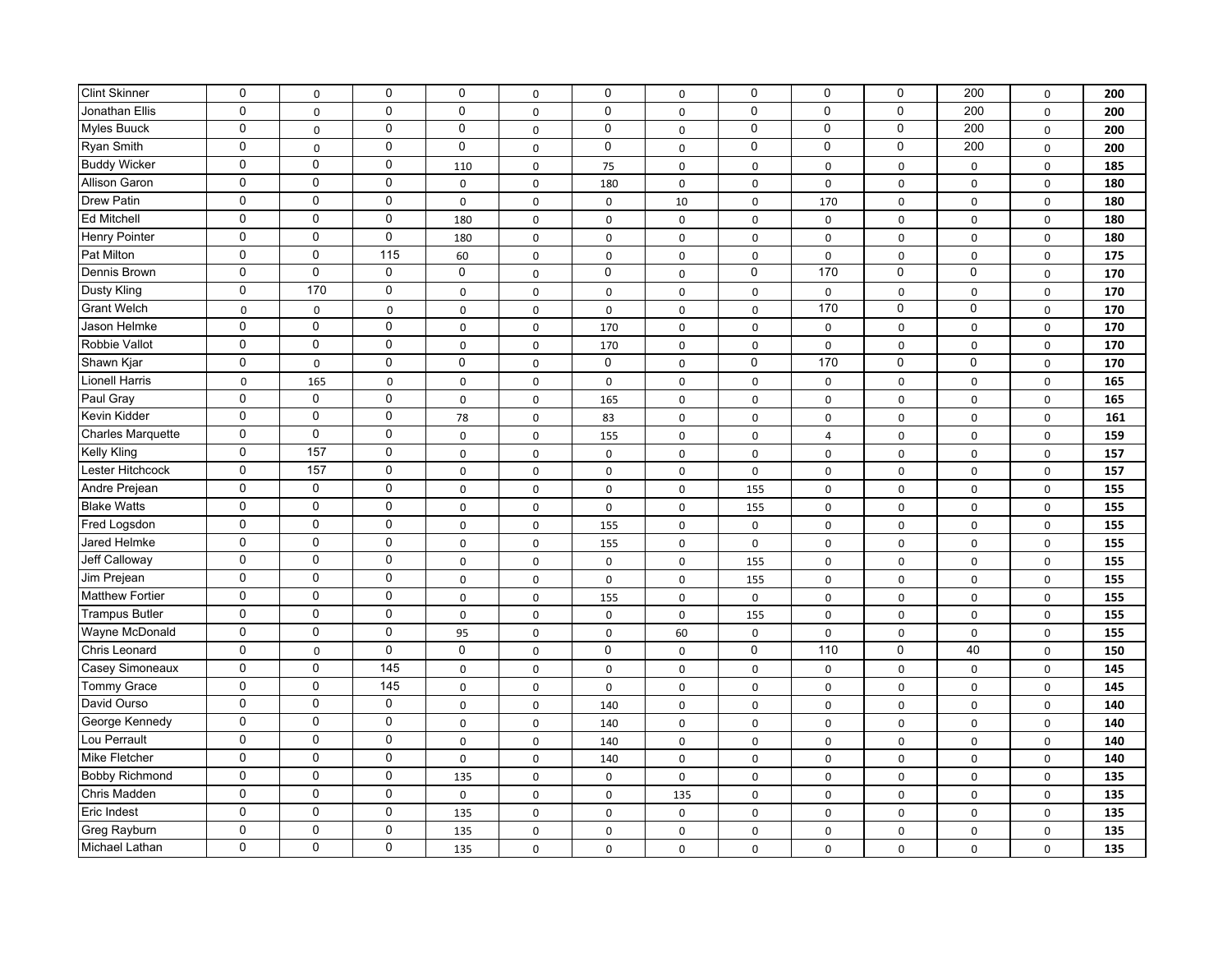| <b>Clint Skinner</b>     | $\mathbf 0$ | $\Omega$          | 0                 | 0            | 0           | $\mathbf 0$ | $\mathsf 0$         | 0            | $\mathbf 0$    | $\mathbf 0$ | 200         | $\mathsf 0$ | 200 |
|--------------------------|-------------|-------------------|-------------------|--------------|-------------|-------------|---------------------|--------------|----------------|-------------|-------------|-------------|-----|
| Jonathan Ellis           | $\mathbf 0$ | $\mathbf 0$       | 0                 | $\Omega$     | $\mathbf 0$ | $\Omega$    | $\mathbf 0$         | 0            | $\mathbf 0$    | $\mathbf 0$ | 200         | $\mathbf 0$ | 200 |
| Myles Buuck              | $\mathbf 0$ | $\mathbf 0$       | 0                 | $\mathbf 0$  | $\pmb{0}$   | $\pmb{0}$   | $\mathsf{O}\xspace$ | 0            | $\mathbf 0$    | $\mathsf 0$ | 200         | $\mathsf 0$ | 200 |
| <b>Ryan Smith</b>        | 0           | 0                 | 0                 | 0            | 0           | 0           | $\mathsf{O}\xspace$ | 0            | 0              | 0           | 200         | $\mathsf 0$ | 200 |
| <b>Buddy Wicker</b>      | $\mathbf 0$ | $\mathbf 0$       | 0                 | 110          | $\mathbf 0$ | 75          | $\mathbf 0$         | $\mathbf 0$  | $\mathbf 0$    | $\mathbf 0$ | $\mathbf 0$ | $\mathbf 0$ | 185 |
| Allison Garon            | $\mathbf 0$ | $\mathbf 0$       | 0                 | 0            | 0           | 180         | $\mathsf{O}\xspace$ | $\pmb{0}$    | $\mathsf 0$    | $\mathbf 0$ | $\mathbf 0$ | $\mathbf 0$ | 180 |
| <b>Drew Patin</b>        | $\mathbf 0$ | $\mathbf 0$       | 0                 | 0            | 0           | 0           | 10                  | $\mathbf 0$  | 170            | 0           | $\mathbf 0$ | $\mathbf 0$ | 180 |
| <b>Ed Mitchell</b>       | $\mathbf 0$ | $\mathbf 0$       | $\mathbf 0$       | 180          | 0           | 0           | 0                   | $\pmb{0}$    | $\mathbf 0$    | $\mathbf 0$ | $\mathbf 0$ | $\mathsf 0$ | 180 |
| <b>Henry Pointer</b>     | $\mathbf 0$ | $\mathbf 0$       | $\mathbf 0$       | 180          | 0           | 0           | 0                   | $\pmb{0}$    | $\mathbf 0$    | 0           | $\mathbf 0$ | $\mathsf 0$ | 180 |
| Pat Milton               | $\mathbf 0$ | $\mathbf 0$       | $\frac{115}{115}$ | 60           | 0           | $\mathsf 0$ | 0                   | $\pmb{0}$    | $\mathsf 0$    | $\pmb{0}$   | $\mathbf 0$ | $\mathsf 0$ | 175 |
| Dennis Brown             | $\mathbf 0$ | $\mathbf 0$       | $\mathbf 0$       | $\mathbf 0$  | $\pmb{0}$   | $\mathbf 0$ | $\mathsf 0$         | $\mathbf 0$  | 170            | $\mathbf 0$ | $\mathbf 0$ | $\mathsf 0$ | 170 |
| Dusty Kling              | $\mathbf 0$ | 170               | $\mathbf 0$       | $\mathsf{O}$ | 0           | 0           | $\mathsf 0$         | $\pmb{0}$    | $\mathbf 0$    | $\pmb{0}$   | $\pmb{0}$   | $\mathsf 0$ | 170 |
| <b>Grant Welch</b>       | $\pmb{0}$   | $\mathbf 0$       | $\mathbf 0$       | $\mathbf 0$  | $\pmb{0}$   | $\mathbf 0$ | $\mathsf 0$         | $\mathbf 0$  | 170            | $\mathbf 0$ | $\pmb{0}$   | $\mathsf 0$ | 170 |
| Jason Helmke             | $\mathbf 0$ | $\mathbf 0$       | 0                 | $\mathbf 0$  | $\pmb{0}$   | 170         | $\mathsf{O}\xspace$ | $\mathbf 0$  | $\mathsf 0$    | 0           | $\pmb{0}$   | $\mathsf 0$ | 170 |
| Robbie Vallot            | $\mathbf 0$ | $\mathbf 0$       | 0                 | 0            | 0           | 170         | $\mathbf 0$         | $\mathbf 0$  | $\mathbf 0$    | $\mathbf 0$ | $\mathbf 0$ | $\mathbf 0$ | 170 |
| Shawn Kjar               | $\mathbf 0$ | $\mathbf 0$       | 0                 | $\mathbf 0$  | 0           | 0           | $\mathbf 0$         | 0            | 170            | $\mathbf 0$ | $\mathbf 0$ | $\mathbf 0$ | 170 |
| <b>Lionell Harris</b>    | $\mathbf 0$ | 165               | $\mathbf 0$       | 0            | 0           | 0           | $\mathbf 0$         | $\mathbf 0$  | $\mathbf 0$    | $\mathbf 0$ | $\mathbf 0$ | $\mathbf 0$ | 165 |
| Paul Gray                | $\mathbf 0$ | $\mathbf 0$       | 0                 | $\mathsf{o}$ | 0           | 165         | 0                   | $\pmb{0}$    | $\mathbf 0$    | 0           | $\pmb{0}$   | $\mathsf 0$ | 165 |
| Kevin Kidder             | 0           | $\mathbf 0$       | 0                 | 78           | 0           | 83          | 0                   | $\pmb{0}$    | $\mathbf 0$    | $\pmb{0}$   | $\pmb{0}$   | $\mathsf 0$ | 161 |
| <b>Charles Marquette</b> | $\mathbf 0$ | $\mathsf 0$       | $\pmb{0}$         | 0            | 0           | 155         | 0                   | $\mathbf 0$  | $\overline{4}$ | $\mathbf 0$ | $\mathbf 0$ | $\mathbf 0$ | 159 |
| Kelly Kling              | $\mathbf 0$ | 157               | $\mathbf 0$       | 0            | $\pmb{0}$   | $\mathsf 0$ | $\mathbf 0$         | $\pmb{0}$    | $\mathsf 0$    | $\pmb{0}$   | $\pmb{0}$   | $\mathsf 0$ | 157 |
| Lester Hitchcock         | $\mathbf 0$ | $\frac{157}{157}$ | $\mathbf 0$       | 0            | 0           | 0           | 0                   | $\pmb{0}$    | $\mathbf 0$    | 0           | $\pmb{0}$   | $\mathsf 0$ | 157 |
| Andre Prejean            | $\mathbf 0$ | $\mathbf 0$       | $\mathbf 0$       | $\mathsf{o}$ | 0           | $\mathsf 0$ | 0                   | 155          | $\mathbf 0$    | $\pmb{0}$   | $\pmb{0}$   | $\mathsf 0$ | 155 |
| <b>Blake Watts</b>       | $\mathbf 0$ | $\mathbf 0$       | $\mathbf 0$       | 0            | 0           | 0           | 0                   | 155          | $\mathbf 0$    | $\mathbf 0$ | $\pmb{0}$   | $\mathsf 0$ | 155 |
| Fred Logsdon             | $\mathbf 0$ | $\mathbf 0$       | $\mathbf 0$       | 0            | 0           | 155         | 0                   | 0            | $\mathbf 0$    | $\mathbf 0$ | $\pmb{0}$   | $\mathsf 0$ | 155 |
| Jared Helmke             | $\mathbf 0$ | $\mathbf 0$       | 0                 | $\mathbf 0$  | $\mathbf 0$ | 155         | $\mathsf 0$         | $\mathbf 0$  | $\mathbf 0$    | $\mathbf 0$ | $\mathbf 0$ | $\mathbf 0$ | 155 |
| <b>Jeff Calloway</b>     | $\mathbf 0$ | $\mathbf 0$       | 0                 | $\mathsf{O}$ | 0           | $\mathsf 0$ | 0                   | 155          | $\mathbf 0$    | $\Omega$    | $\mathbf 0$ | $\mathsf 0$ | 155 |
| Jim Prejean              | $\mathbf 0$ | $\mathbf 0$       | 0                 | $\mathbf 0$  | $\mathbf 0$ | $\mathsf 0$ | 0                   | 155          | $\mathbf 0$    | $\mathbf 0$ | $\pmb{0}$   | $\mathsf 0$ | 155 |
| <b>Matthew Fortier</b>   | $\mathbf 0$ | $\mathbf 0$       | 0                 | $\mathsf{o}$ | 0           | 155         | $\mathsf{O}\xspace$ | $\mathsf{o}$ | $\mathsf 0$    | $\mathbf 0$ | $\mathbf 0$ | $\mathsf 0$ | 155 |
| <b>Trampus Butler</b>    | $\mathbf 0$ | $\mathbf 0$       | 0                 | 0            | 0           | $\mathsf 0$ | $\mathsf{O}\xspace$ | 155          | $\mathbf 0$    | $\mathbf 0$ | $\mathbf 0$ | $\mathsf 0$ | 155 |
| Wayne McDonald           | $\mathbf 0$ | $\mathbf 0$       | 0                 | 95           | 0           | $\mathsf 0$ | 60                  | $\pmb{0}$    | $\mathsf 0$    | $\mathbf 0$ | $\mathbf 0$ | $\mathbf 0$ | 155 |
| Chris Leonard            | $\mathbf 0$ | $\mathbf 0$       | 0                 | 0            | $\pmb{0}$   | 0           | $\mathsf{O}\xspace$ | 0            | 110            | $\mathsf 0$ | 40          | $\mathsf 0$ | 150 |
| Casey Simoneaux          | $\mathbf 0$ | $\mathbf 0$       | 145               | 0            | 0           | 0           | 0                   | $\mathbf 0$  | $\mathbf 0$    | 0           | $\mathbf 0$ | $\mathbf 0$ | 145 |
| <b>Tommy Grace</b>       | $\mathbf 0$ | $\mathbf 0$       | 145               | 0            | 0           | 0           | 0                   | $\mathbf 0$  | $\mathbf 0$    | $\mathbf 0$ | $\mathbf 0$ | $\mathbf 0$ | 145 |
| David Ourso              | $\mathbf 0$ | $\mathbf 0$       | $\mathbf 0$       | $\mathsf{o}$ | 0           | 140         | 0                   | $\pmb{0}$    | $\mathbf 0$    | 0           | $\mathbf 0$ | $\mathsf 0$ | 140 |
| George Kennedy           | $\mathbf 0$ | $\mathbf 0$       | $\mathbf 0$       | $\mathsf{o}$ | $\pmb{0}$   | 140         | $\mathsf 0$         | $\pmb{0}$    | $\mathsf 0$    | $\pmb{0}$   | $\pmb{0}$   | $\mathsf 0$ | 140 |
| Lou Perrault             | $\mathbf 0$ | $\mathbf 0$       | $\mathbf 0$       | 0            | $\pmb{0}$   | 140         | $\mathsf 0$         | $\pmb{0}$    | $\mathbf 0$    | $\pmb{0}$   | $\pmb{0}$   | $\mathsf 0$ | 140 |
| Mike Fletcher            | $\mathbf 0$ | $\mathbf 0$       | $\pmb{0}$         | $\mathsf{o}$ | 0           | 140         | $\mathbf 0$         | $\pmb{0}$    | $\mathbf 0$    | $\pmb{0}$   | $\pmb{0}$   | $\mathsf 0$ | 140 |
| <b>Bobby Richmond</b>    | $\mathbf 0$ | $\mathsf 0$       | 0                 | 135          | $\mathbf 0$ | $\mathbf 0$ | $\mathsf{O}\xspace$ | $\mathbf 0$  | $\mathbf 0$    | $\mathbf 0$ | $\pmb{0}$   | $\mathbf 0$ | 135 |
| Chris Madden             | $\mathbf 0$ | $\mathbf 0$       | 0                 | 0            | $\pmb{0}$   | $\mathsf 0$ | 135                 | 0            | $\mathbf 0$    | $\mathbf 0$ | $\pmb{0}$   | $\mathsf 0$ | 135 |
| Eric Indest              | $\mathbf 0$ | $\mathbf 0$       | 0                 | 135          | $\mathbf 0$ | $\mathbf 0$ | $\mathsf{O}\xspace$ | $\mathbf 0$  | $\mathbf 0$    | $\mathbf 0$ | $\mathbf 0$ | $\mathbf 0$ | 135 |
| Greg Rayburn             | $\mathbf 0$ | $\mathbf 0$       | 0                 | 135          | 0           | 0           | 0                   | $\mathbf 0$  | $\mathbf 0$    | 0           | $\mathbf 0$ | $\mathbf 0$ | 135 |
| <b>Michael Lathan</b>    | 0           | $\mathbf 0$       | 0                 | 135          | 0           | 0           | 0                   | 0            | 0              | $\mathbf 0$ | $\mathbf 0$ | $\mathbf 0$ | 135 |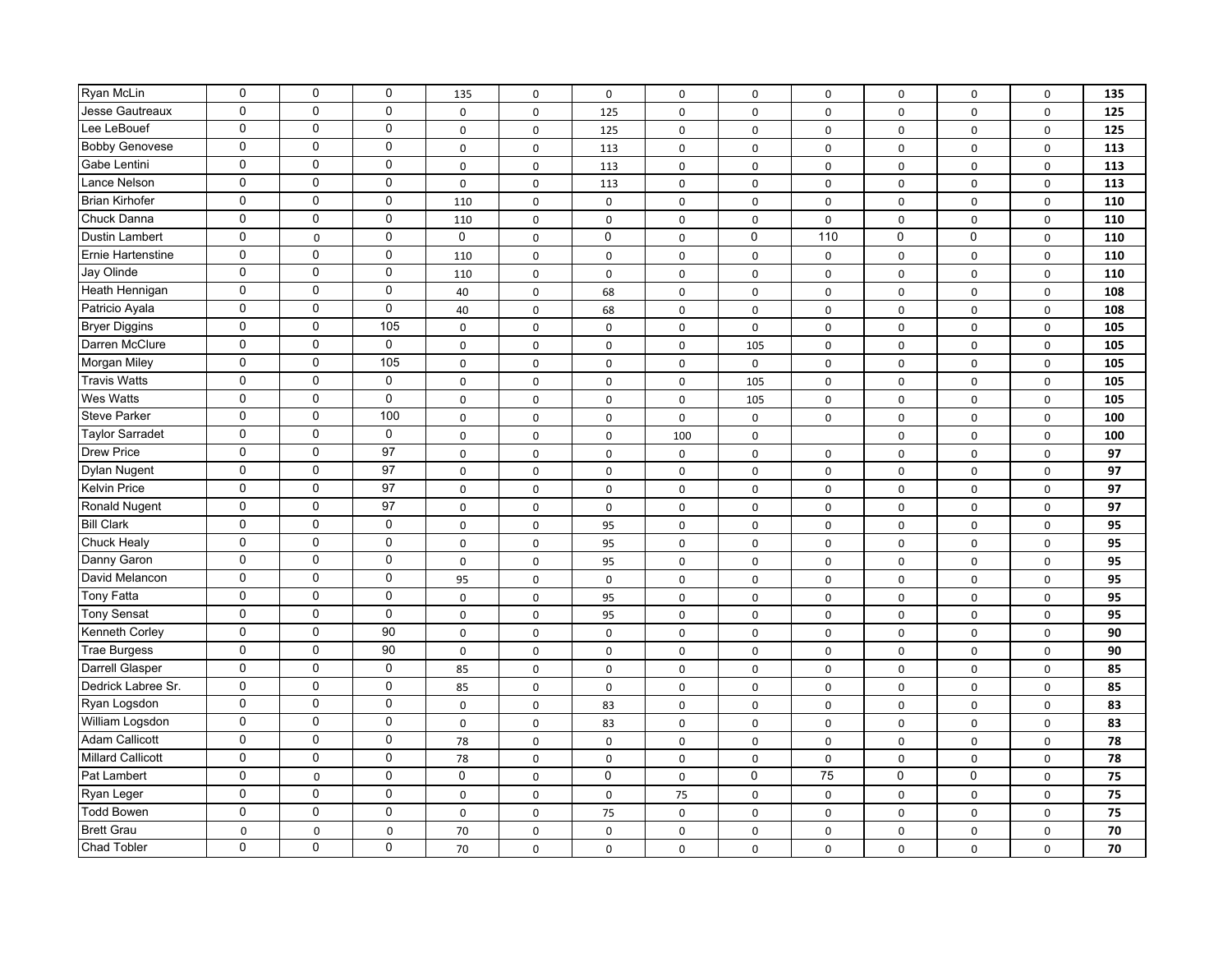| Ryan McLin<br>$\mathbf 0$<br>$\mathbf 0$<br>$\mathbf 0$<br>135<br>0<br>0<br>$\mathsf 0$<br>0<br>0<br>$\pmb{0}$<br>$\mathbf 0$<br>$\mathbf 0$<br>$\pmb{0}$<br>Jesse Gautreaux<br>$\mathbf 0$<br>0<br>0<br>$\mathbf 0$<br>$\pmb{0}$<br>125<br>0<br>Lee LeBouef<br>$\mathbf 0$<br>$\mathbf 0$<br>$\mathbf 0$<br>$\pmb{0}$<br>$\mathsf{O}$<br>$\mathsf 0$<br>$\mathsf 0$<br>$\pmb{0}$<br>125<br>0<br><b>Bobby Genovese</b><br>$\mathbf 0$<br>$\mathbf 0$<br>0<br>$\mathbf 0$<br>$\mathbf 0$<br>$\mathsf{O}\xspace$<br>$\mathbf 0$<br>$\mathbf 0$<br>$\mathbf 0$<br>113<br>$\mathbf 0$<br>0<br>$\mathbf 0$<br>Gabe Lentini<br>0<br>0<br>113<br>$\mathbf 0$<br>$\mathbf 0$<br>$\mathbf 0$<br>$\Omega$<br>$\mathbf 0$<br>$\mathbf 0$<br>0<br>Lance Nelson<br>0<br>0<br>$\mathbf 0$<br>$\mathbf 0$<br>$\mathbf 0$<br>$\mathbf 0$<br>113<br>$\mathbf 0$<br>$\mathbf 0$<br>0<br><b>Brian Kirhofer</b><br>$\mathbf 0$<br>0<br>$\mathbf 0$<br>$\mathbf 0$<br>$\mathbf 0$<br>0<br>110<br>$\mathbf 0$<br>$\mathbf 0$<br>0<br>Chuck Danna<br>110<br>0<br>0<br>0<br>$\mathbf 0$<br>$\pmb{0}$<br>0<br>$\mathbf 0$<br>0<br>110<br>$\Omega$<br>0<br>0<br>$\Omega$<br>Dustin Lambert<br>0<br>$\mathbf 0$<br>0<br>$\mathbf 0$<br>$\mathbf 0$<br>$\pmb{0}$<br><b>Ernie Hartenstine</b><br>0<br>$\mathsf 0$<br>$\mathsf{O}\xspace$<br>$\pmb{0}$<br>110<br>$\pmb{0}$<br>$\mathbf 0$<br>$\mathbf 0$<br>$\mathbf 0$<br>0<br>Jay Olinde<br>0<br>110<br>0<br>0<br>$\pmb{0}$<br>$\mathbf 0$<br>0<br>$\mathbf 0$<br>$\mathbf 0$<br>$\mathbf 0$<br>Heath Hennigan<br>0<br>40<br>68<br>0<br>0<br>0<br>$\mathsf 0$<br>$\mathbf 0$<br>$\mathbf 0$<br>$\mathbf 0$<br>Patricio Ayala<br>40<br>0<br>68<br>0<br>$\mathbf 0$<br>$\mathbf 0$<br>$\mathbf 0$<br>$\mathbf 0$<br>$\mathbf 0$<br>105<br><b>Bryer Diggins</b><br>0<br>0<br>$\mathsf 0$<br>$\mathsf 0$<br>$\mathbf 0$<br>0<br>0<br>$\mathbf 0$<br>$\mathbf 0$<br>$\mathbf 0$<br>Darren McClure<br>0<br>0<br>0<br>$\mathsf 0$<br>105<br>$\mathbf 0$<br>$\pmb{0}$ | $\pmb{0}$<br>$\pmb{0}$<br>$\pmb{0}$<br>$\mathbf 0$<br>$\mathbf 0$<br>$\mathbf 0$<br>$\mathbf 0$<br>$\pmb{0}$<br>0<br>$\pmb{0}$<br>$\mathbf 0$<br>$\mathsf 0$<br>$\mathbf 0$<br>0<br>$\pmb{0}$<br>$\mathbf 0$ | $\mathbf 0$<br>$\mathsf 0$<br>$\mathsf 0$<br>$\mathbf 0$<br>$\mathbf 0$<br>$\mathbf 0$<br>$\mathbf 0$<br>$\mathsf 0$<br>$\mathbf 0$<br>$\mathsf 0$<br>$\mathbf 0$<br>0<br>$\mathbf 0$<br>$\mathbf 0$<br>$\mathsf 0$ | 135<br>125<br>125<br>113<br>113<br>113<br>110<br>110<br>110<br>110<br>110<br>108<br>108<br>105 |
|-----------------------------------------------------------------------------------------------------------------------------------------------------------------------------------------------------------------------------------------------------------------------------------------------------------------------------------------------------------------------------------------------------------------------------------------------------------------------------------------------------------------------------------------------------------------------------------------------------------------------------------------------------------------------------------------------------------------------------------------------------------------------------------------------------------------------------------------------------------------------------------------------------------------------------------------------------------------------------------------------------------------------------------------------------------------------------------------------------------------------------------------------------------------------------------------------------------------------------------------------------------------------------------------------------------------------------------------------------------------------------------------------------------------------------------------------------------------------------------------------------------------------------------------------------------------------------------------------------------------------------------------------------------------------------------------------------------------------------------------------------------------------------------------------------------------------------------------------------------------------------------------------------------------------------------------------------------------------------------|--------------------------------------------------------------------------------------------------------------------------------------------------------------------------------------------------------------|---------------------------------------------------------------------------------------------------------------------------------------------------------------------------------------------------------------------|------------------------------------------------------------------------------------------------|
|                                                                                                                                                                                                                                                                                                                                                                                                                                                                                                                                                                                                                                                                                                                                                                                                                                                                                                                                                                                                                                                                                                                                                                                                                                                                                                                                                                                                                                                                                                                                                                                                                                                                                                                                                                                                                                                                                                                                                                                   |                                                                                                                                                                                                              |                                                                                                                                                                                                                     |                                                                                                |
|                                                                                                                                                                                                                                                                                                                                                                                                                                                                                                                                                                                                                                                                                                                                                                                                                                                                                                                                                                                                                                                                                                                                                                                                                                                                                                                                                                                                                                                                                                                                                                                                                                                                                                                                                                                                                                                                                                                                                                                   |                                                                                                                                                                                                              |                                                                                                                                                                                                                     |                                                                                                |
|                                                                                                                                                                                                                                                                                                                                                                                                                                                                                                                                                                                                                                                                                                                                                                                                                                                                                                                                                                                                                                                                                                                                                                                                                                                                                                                                                                                                                                                                                                                                                                                                                                                                                                                                                                                                                                                                                                                                                                                   |                                                                                                                                                                                                              |                                                                                                                                                                                                                     |                                                                                                |
|                                                                                                                                                                                                                                                                                                                                                                                                                                                                                                                                                                                                                                                                                                                                                                                                                                                                                                                                                                                                                                                                                                                                                                                                                                                                                                                                                                                                                                                                                                                                                                                                                                                                                                                                                                                                                                                                                                                                                                                   |                                                                                                                                                                                                              |                                                                                                                                                                                                                     |                                                                                                |
|                                                                                                                                                                                                                                                                                                                                                                                                                                                                                                                                                                                                                                                                                                                                                                                                                                                                                                                                                                                                                                                                                                                                                                                                                                                                                                                                                                                                                                                                                                                                                                                                                                                                                                                                                                                                                                                                                                                                                                                   |                                                                                                                                                                                                              |                                                                                                                                                                                                                     |                                                                                                |
|                                                                                                                                                                                                                                                                                                                                                                                                                                                                                                                                                                                                                                                                                                                                                                                                                                                                                                                                                                                                                                                                                                                                                                                                                                                                                                                                                                                                                                                                                                                                                                                                                                                                                                                                                                                                                                                                                                                                                                                   |                                                                                                                                                                                                              |                                                                                                                                                                                                                     |                                                                                                |
|                                                                                                                                                                                                                                                                                                                                                                                                                                                                                                                                                                                                                                                                                                                                                                                                                                                                                                                                                                                                                                                                                                                                                                                                                                                                                                                                                                                                                                                                                                                                                                                                                                                                                                                                                                                                                                                                                                                                                                                   |                                                                                                                                                                                                              |                                                                                                                                                                                                                     |                                                                                                |
|                                                                                                                                                                                                                                                                                                                                                                                                                                                                                                                                                                                                                                                                                                                                                                                                                                                                                                                                                                                                                                                                                                                                                                                                                                                                                                                                                                                                                                                                                                                                                                                                                                                                                                                                                                                                                                                                                                                                                                                   |                                                                                                                                                                                                              |                                                                                                                                                                                                                     |                                                                                                |
|                                                                                                                                                                                                                                                                                                                                                                                                                                                                                                                                                                                                                                                                                                                                                                                                                                                                                                                                                                                                                                                                                                                                                                                                                                                                                                                                                                                                                                                                                                                                                                                                                                                                                                                                                                                                                                                                                                                                                                                   |                                                                                                                                                                                                              |                                                                                                                                                                                                                     |                                                                                                |
|                                                                                                                                                                                                                                                                                                                                                                                                                                                                                                                                                                                                                                                                                                                                                                                                                                                                                                                                                                                                                                                                                                                                                                                                                                                                                                                                                                                                                                                                                                                                                                                                                                                                                                                                                                                                                                                                                                                                                                                   |                                                                                                                                                                                                              |                                                                                                                                                                                                                     |                                                                                                |
|                                                                                                                                                                                                                                                                                                                                                                                                                                                                                                                                                                                                                                                                                                                                                                                                                                                                                                                                                                                                                                                                                                                                                                                                                                                                                                                                                                                                                                                                                                                                                                                                                                                                                                                                                                                                                                                                                                                                                                                   |                                                                                                                                                                                                              |                                                                                                                                                                                                                     |                                                                                                |
|                                                                                                                                                                                                                                                                                                                                                                                                                                                                                                                                                                                                                                                                                                                                                                                                                                                                                                                                                                                                                                                                                                                                                                                                                                                                                                                                                                                                                                                                                                                                                                                                                                                                                                                                                                                                                                                                                                                                                                                   |                                                                                                                                                                                                              |                                                                                                                                                                                                                     |                                                                                                |
|                                                                                                                                                                                                                                                                                                                                                                                                                                                                                                                                                                                                                                                                                                                                                                                                                                                                                                                                                                                                                                                                                                                                                                                                                                                                                                                                                                                                                                                                                                                                                                                                                                                                                                                                                                                                                                                                                                                                                                                   |                                                                                                                                                                                                              |                                                                                                                                                                                                                     |                                                                                                |
|                                                                                                                                                                                                                                                                                                                                                                                                                                                                                                                                                                                                                                                                                                                                                                                                                                                                                                                                                                                                                                                                                                                                                                                                                                                                                                                                                                                                                                                                                                                                                                                                                                                                                                                                                                                                                                                                                                                                                                                   |                                                                                                                                                                                                              |                                                                                                                                                                                                                     |                                                                                                |
|                                                                                                                                                                                                                                                                                                                                                                                                                                                                                                                                                                                                                                                                                                                                                                                                                                                                                                                                                                                                                                                                                                                                                                                                                                                                                                                                                                                                                                                                                                                                                                                                                                                                                                                                                                                                                                                                                                                                                                                   |                                                                                                                                                                                                              |                                                                                                                                                                                                                     | 105                                                                                            |
| $\mathbf 0$<br>$\mathbf 0$<br>105<br>Morgan Miley<br>$\mathbf 0$<br>0<br>$\mathsf 0$<br>$\mathbf 0$<br>0<br>$\mathbf 0$<br>$\mathbf 0$                                                                                                                                                                                                                                                                                                                                                                                                                                                                                                                                                                                                                                                                                                                                                                                                                                                                                                                                                                                                                                                                                                                                                                                                                                                                                                                                                                                                                                                                                                                                                                                                                                                                                                                                                                                                                                            |                                                                                                                                                                                                              | $\mathsf 0$                                                                                                                                                                                                         | 105                                                                                            |
| $\mathbf 0$<br>$\mathbf 0$<br>0<br><b>Travis Watts</b><br>0<br>$\mathsf 0$<br>$\mathbf 0$<br>0<br>0<br>105<br>$\mathbf 0$                                                                                                                                                                                                                                                                                                                                                                                                                                                                                                                                                                                                                                                                                                                                                                                                                                                                                                                                                                                                                                                                                                                                                                                                                                                                                                                                                                                                                                                                                                                                                                                                                                                                                                                                                                                                                                                         | $\pmb{0}$                                                                                                                                                                                                    | $\mathsf 0$                                                                                                                                                                                                         | 105                                                                                            |
| <b>Wes Watts</b><br>$\mathbf 0$<br>$\mathbf 0$<br>0<br>$\mathbf 0$<br>$\mathsf{O}$<br>$\mathsf 0$<br>$\mathsf{O}\xspace$<br>$\mathbf 0$<br>$\mathbf 0$<br>105                                                                                                                                                                                                                                                                                                                                                                                                                                                                                                                                                                                                                                                                                                                                                                                                                                                                                                                                                                                                                                                                                                                                                                                                                                                                                                                                                                                                                                                                                                                                                                                                                                                                                                                                                                                                                     | $\mathbf 0$                                                                                                                                                                                                  | $\mathbf 0$                                                                                                                                                                                                         | 105                                                                                            |
| <b>Steve Parker</b><br>$\mathbf 0$<br>$\mathbf 0$<br>100<br>$\mathbf 0$<br>$\mathbf 0$<br>$\mathbf 0$<br>$\mathbf 0$<br>$\mathsf 0$<br>$\mathbf 0$<br>0                                                                                                                                                                                                                                                                                                                                                                                                                                                                                                                                                                                                                                                                                                                                                                                                                                                                                                                                                                                                                                                                                                                                                                                                                                                                                                                                                                                                                                                                                                                                                                                                                                                                                                                                                                                                                           | $\mathbf 0$                                                                                                                                                                                                  | $\mathbf 0$                                                                                                                                                                                                         | 100                                                                                            |
| $\mathbf 0$<br>$\mathbf 0$<br>$\mathbf 0$<br><b>Taylor Sarradet</b><br>$\mathbf 0$<br>0<br>0<br>100<br>$\mathbf 0$<br>$\mathbf 0$                                                                                                                                                                                                                                                                                                                                                                                                                                                                                                                                                                                                                                                                                                                                                                                                                                                                                                                                                                                                                                                                                                                                                                                                                                                                                                                                                                                                                                                                                                                                                                                                                                                                                                                                                                                                                                                 | $\mathbf 0$                                                                                                                                                                                                  | $\mathbf 0$                                                                                                                                                                                                         | 100                                                                                            |
| 97<br>$\mathbf 0$<br>$\mathbf 0$<br><b>Drew Price</b><br>0<br>0<br>0<br>0<br>$\mathbf 0$<br>$\mathbf 0$<br>0                                                                                                                                                                                                                                                                                                                                                                                                                                                                                                                                                                                                                                                                                                                                                                                                                                                                                                                                                                                                                                                                                                                                                                                                                                                                                                                                                                                                                                                                                                                                                                                                                                                                                                                                                                                                                                                                      | $\mathbf 0$                                                                                                                                                                                                  | $\mathbf 0$                                                                                                                                                                                                         | 97                                                                                             |
| $\mathbf 0$<br>$\mathsf 0$<br>97<br>Dylan Nugent<br>0<br>0<br>0<br>$\mathsf 0$<br>$\mathbf 0$<br>0<br>0                                                                                                                                                                                                                                                                                                                                                                                                                                                                                                                                                                                                                                                                                                                                                                                                                                                                                                                                                                                                                                                                                                                                                                                                                                                                                                                                                                                                                                                                                                                                                                                                                                                                                                                                                                                                                                                                           | $\mathbf 0$                                                                                                                                                                                                  | $\mathsf 0$                                                                                                                                                                                                         | 97                                                                                             |
| 97<br>$\mathbf 0$<br>$\mathbf 0$<br><b>Kelvin Price</b><br>0<br>0<br>0<br>$\mathsf 0$<br>$\pmb{0}$<br>$\mathbf 0$<br>$\pmb{0}$                                                                                                                                                                                                                                                                                                                                                                                                                                                                                                                                                                                                                                                                                                                                                                                                                                                                                                                                                                                                                                                                                                                                                                                                                                                                                                                                                                                                                                                                                                                                                                                                                                                                                                                                                                                                                                                    | $\mathbf 0$                                                                                                                                                                                                  | $\mathsf 0$                                                                                                                                                                                                         | 97                                                                                             |
| 97<br>$\mathbf 0$<br>$\mathsf 0$<br>Ronald Nugent<br>$\mathsf{o}$<br>0<br>0<br>0<br>$\pmb{0}$<br>$\mathbf 0$<br>0                                                                                                                                                                                                                                                                                                                                                                                                                                                                                                                                                                                                                                                                                                                                                                                                                                                                                                                                                                                                                                                                                                                                                                                                                                                                                                                                                                                                                                                                                                                                                                                                                                                                                                                                                                                                                                                                 | $\mathbf 0$                                                                                                                                                                                                  | $\mathsf 0$                                                                                                                                                                                                         | 97                                                                                             |
| <b>Bill Clark</b><br>$\mathbf 0$<br>$\mathbf 0$<br>$\mathbf 0$<br>$\mathsf{o}$<br>0<br>95<br>0<br>$\pmb{0}$<br>$\mathbf 0$<br>$\pmb{0}$                                                                                                                                                                                                                                                                                                                                                                                                                                                                                                                                                                                                                                                                                                                                                                                                                                                                                                                                                                                                                                                                                                                                                                                                                                                                                                                                                                                                                                                                                                                                                                                                                                                                                                                                                                                                                                           | $\mathbf 0$                                                                                                                                                                                                  | $\mathsf 0$                                                                                                                                                                                                         | 95                                                                                             |
| $\mathbf 0$<br>Chuck Healy<br>$\mathbf 0$<br>0<br>$\pmb{0}$<br>$\mathsf{O}$<br>95<br>$\mathsf{O}\xspace$<br>$\pmb{0}$<br>$\mathsf 0$<br>$\mathbf 0$                                                                                                                                                                                                                                                                                                                                                                                                                                                                                                                                                                                                                                                                                                                                                                                                                                                                                                                                                                                                                                                                                                                                                                                                                                                                                                                                                                                                                                                                                                                                                                                                                                                                                                                                                                                                                               | $\pmb{0}$                                                                                                                                                                                                    | $\mathsf 0$                                                                                                                                                                                                         | 95                                                                                             |
| $\mathbf 0$<br>$\mathbf 0$<br>0<br>Danny Garon<br>$\mathsf{O}$<br>0<br>95<br>0<br>$\mathbf 0$<br>$\mathbf 0$<br>$\mathbf 0$                                                                                                                                                                                                                                                                                                                                                                                                                                                                                                                                                                                                                                                                                                                                                                                                                                                                                                                                                                                                                                                                                                                                                                                                                                                                                                                                                                                                                                                                                                                                                                                                                                                                                                                                                                                                                                                       | $\mathbf 0$                                                                                                                                                                                                  | $\mathbf 0$                                                                                                                                                                                                         | 95                                                                                             |
| $\mathbf 0$<br>$\mathbf 0$<br>0<br>David Melancon<br>95<br>$\mathbf 0$<br>$\mathbf 0$<br>$\Omega$<br>$\mathbf 0$<br>0<br>$\mathbf{0}$                                                                                                                                                                                                                                                                                                                                                                                                                                                                                                                                                                                                                                                                                                                                                                                                                                                                                                                                                                                                                                                                                                                                                                                                                                                                                                                                                                                                                                                                                                                                                                                                                                                                                                                                                                                                                                             | $\mathbf 0$                                                                                                                                                                                                  | $\mathbf 0$                                                                                                                                                                                                         | 95                                                                                             |
| <b>Tony Fatta</b><br>$\mathbf 0$<br>$\mathbf 0$<br>0<br>$\mathsf{o}$<br>0<br>$\mathsf 0$<br>0<br>95<br>0<br>0                                                                                                                                                                                                                                                                                                                                                                                                                                                                                                                                                                                                                                                                                                                                                                                                                                                                                                                                                                                                                                                                                                                                                                                                                                                                                                                                                                                                                                                                                                                                                                                                                                                                                                                                                                                                                                                                     | $\mathbf 0$                                                                                                                                                                                                  | $\mathsf 0$                                                                                                                                                                                                         | 95                                                                                             |
| <b>Tony Sensat</b><br>$\mathbf 0$<br>$\mathbf 0$<br>$\mathbf 0$<br>0<br>95<br>$\mathbf 0$<br>$\mathbf 0$<br>$\pmb{0}$<br>0<br>0                                                                                                                                                                                                                                                                                                                                                                                                                                                                                                                                                                                                                                                                                                                                                                                                                                                                                                                                                                                                                                                                                                                                                                                                                                                                                                                                                                                                                                                                                                                                                                                                                                                                                                                                                                                                                                                   | $\pmb{0}$                                                                                                                                                                                                    | $\mathsf 0$                                                                                                                                                                                                         | 95                                                                                             |
| $\mathbf 0$<br>90<br>$\mathbf 0$<br>Kenneth Corley<br>0<br>0<br>0<br>0<br>$\pmb{0}$<br>$\mathbf 0$<br>0                                                                                                                                                                                                                                                                                                                                                                                                                                                                                                                                                                                                                                                                                                                                                                                                                                                                                                                                                                                                                                                                                                                                                                                                                                                                                                                                                                                                                                                                                                                                                                                                                                                                                                                                                                                                                                                                           | $\mathbf 0$                                                                                                                                                                                                  | $\mathsf 0$                                                                                                                                                                                                         | 90                                                                                             |
| $\mathbf 0$<br>$\mathsf 0$<br>90<br><b>Trae Burgess</b><br>0<br>0<br>0<br>0<br>$\pmb{0}$<br>$\mathbf 0$<br>$\pmb{0}$                                                                                                                                                                                                                                                                                                                                                                                                                                                                                                                                                                                                                                                                                                                                                                                                                                                                                                                                                                                                                                                                                                                                                                                                                                                                                                                                                                                                                                                                                                                                                                                                                                                                                                                                                                                                                                                              | $\pmb{0}$                                                                                                                                                                                                    | $\mathsf 0$                                                                                                                                                                                                         | 90                                                                                             |
| $\mathbf 0$<br>0<br>$\mathbf 0$<br>Darrell Glasper<br>0<br>$\mathsf{O}\xspace$<br>$\mathsf 0$<br>$\mathbf 0$<br>85<br>0<br>$\pmb{0}$                                                                                                                                                                                                                                                                                                                                                                                                                                                                                                                                                                                                                                                                                                                                                                                                                                                                                                                                                                                                                                                                                                                                                                                                                                                                                                                                                                                                                                                                                                                                                                                                                                                                                                                                                                                                                                              | $\mathbf 0$                                                                                                                                                                                                  | $\mathsf 0$                                                                                                                                                                                                         | 85                                                                                             |
| $\mathbf 0$<br>$\mathbf 0$<br>0<br>Dedrick Labree Sr.<br>85<br>0<br>$\mathbf 0$<br>$\mathsf{O}\xspace$<br>0<br>0<br>$\pmb{0}$                                                                                                                                                                                                                                                                                                                                                                                                                                                                                                                                                                                                                                                                                                                                                                                                                                                                                                                                                                                                                                                                                                                                                                                                                                                                                                                                                                                                                                                                                                                                                                                                                                                                                                                                                                                                                                                     | $\pmb{0}$                                                                                                                                                                                                    | 0                                                                                                                                                                                                                   | 85                                                                                             |
| $\mathbf 0$<br>$\mathbf 0$<br>$\mathbf 0$<br>Ryan Logsdon<br>0<br>0<br>83<br>$\mathbf 0$<br>$\mathbf 0$<br>0<br>$\mathbf 0$                                                                                                                                                                                                                                                                                                                                                                                                                                                                                                                                                                                                                                                                                                                                                                                                                                                                                                                                                                                                                                                                                                                                                                                                                                                                                                                                                                                                                                                                                                                                                                                                                                                                                                                                                                                                                                                       | $\mathbf 0$                                                                                                                                                                                                  | $\mathbf 0$                                                                                                                                                                                                         | 83                                                                                             |
| $\mathbf 0$<br>$\mathbf 0$<br>$\mathbf 0$<br>William Logsdon<br>$\mathbf 0$<br>0<br>83<br>0<br>$\pmb{0}$<br>$\mathbf 0$<br>$\mathbf 0$                                                                                                                                                                                                                                                                                                                                                                                                                                                                                                                                                                                                                                                                                                                                                                                                                                                                                                                                                                                                                                                                                                                                                                                                                                                                                                                                                                                                                                                                                                                                                                                                                                                                                                                                                                                                                                            | $\mathbf 0$                                                                                                                                                                                                  | $\mathbf 0$                                                                                                                                                                                                         | 83                                                                                             |
| <b>Adam Callicott</b><br>$\mathbf 0$<br>$\mathbf 0$<br>$\mathbf 0$<br>78<br>0<br>0<br>$\mathsf 0$<br>$\mathbf 0$<br>$\pmb{0}$<br>0                                                                                                                                                                                                                                                                                                                                                                                                                                                                                                                                                                                                                                                                                                                                                                                                                                                                                                                                                                                                                                                                                                                                                                                                                                                                                                                                                                                                                                                                                                                                                                                                                                                                                                                                                                                                                                                | $\mathbf 0$                                                                                                                                                                                                  | 0                                                                                                                                                                                                                   | 78                                                                                             |
| <b>Millard Callicott</b><br>$\mathbf 0$<br>$\mathbf 0$<br>$\mathbf 0$<br>78<br>0<br>0<br>$\mathsf 0$<br>$\pmb{0}$<br>$\mathbf 0$<br>$\pmb{0}$                                                                                                                                                                                                                                                                                                                                                                                                                                                                                                                                                                                                                                                                                                                                                                                                                                                                                                                                                                                                                                                                                                                                                                                                                                                                                                                                                                                                                                                                                                                                                                                                                                                                                                                                                                                                                                     | $\pmb{0}$                                                                                                                                                                                                    | $\mathsf 0$                                                                                                                                                                                                         | 78                                                                                             |
| $\mathbf 0$<br>$\mathbf 0$<br>$\mathbf 0$<br>$\mathbf 0$<br>75<br>$\mathbf 0$<br>Pat Lambert<br>$\mathbf 0$<br>$\mathbf 0$<br>$\mathbf 0$<br>$\mathsf{O}\xspace$                                                                                                                                                                                                                                                                                                                                                                                                                                                                                                                                                                                                                                                                                                                                                                                                                                                                                                                                                                                                                                                                                                                                                                                                                                                                                                                                                                                                                                                                                                                                                                                                                                                                                                                                                                                                                  | 0                                                                                                                                                                                                            | $\mathbf 0$                                                                                                                                                                                                         | 75                                                                                             |
| $\mathbf 0$<br>$\mathbf 0$<br>0<br>Ryan Leger<br>$\pmb{0}$<br>0<br>$\mathsf 0$<br>75<br>$\mathsf 0$<br>$\mathbf 0$<br>0                                                                                                                                                                                                                                                                                                                                                                                                                                                                                                                                                                                                                                                                                                                                                                                                                                                                                                                                                                                                                                                                                                                                                                                                                                                                                                                                                                                                                                                                                                                                                                                                                                                                                                                                                                                                                                                           | $\pmb{0}$                                                                                                                                                                                                    | $\mathsf 0$                                                                                                                                                                                                         | 75                                                                                             |
| $\mathbf 0$<br>$\mathbf 0$<br>0<br><b>Todd Bowen</b><br>$\mathbf 0$<br>75<br>$\mathbf 0$<br>$\mathbf 0$<br>0<br>$\mathbf 0$<br>$\mathbf 0$                                                                                                                                                                                                                                                                                                                                                                                                                                                                                                                                                                                                                                                                                                                                                                                                                                                                                                                                                                                                                                                                                                                                                                                                                                                                                                                                                                                                                                                                                                                                                                                                                                                                                                                                                                                                                                        | $\mathbf 0$                                                                                                                                                                                                  | $\mathbf 0$                                                                                                                                                                                                         | 75                                                                                             |
| <b>Brett Grau</b><br>$\mathbf 0$<br>$\mathbf 0$<br>$\mathbf 0$<br>70<br>$\mathbf 0$<br>$\mathbf 0$<br>$\mathbf 0$<br>$\mathbf 0$<br>$\mathbf 0$<br>$\mathbf 0$                                                                                                                                                                                                                                                                                                                                                                                                                                                                                                                                                                                                                                                                                                                                                                                                                                                                                                                                                                                                                                                                                                                                                                                                                                                                                                                                                                                                                                                                                                                                                                                                                                                                                                                                                                                                                    | $\mathbf 0$                                                                                                                                                                                                  | $\mathbf 0$                                                                                                                                                                                                         | 70                                                                                             |
| 0<br>$\mathbf 0$<br>Chad Tobler<br>0<br>70<br>0<br>0<br>0<br>$\mathbf 0$<br>0<br>$\mathbf 0$                                                                                                                                                                                                                                                                                                                                                                                                                                                                                                                                                                                                                                                                                                                                                                                                                                                                                                                                                                                                                                                                                                                                                                                                                                                                                                                                                                                                                                                                                                                                                                                                                                                                                                                                                                                                                                                                                      | $\mathbf 0$                                                                                                                                                                                                  | 0                                                                                                                                                                                                                   | 70                                                                                             |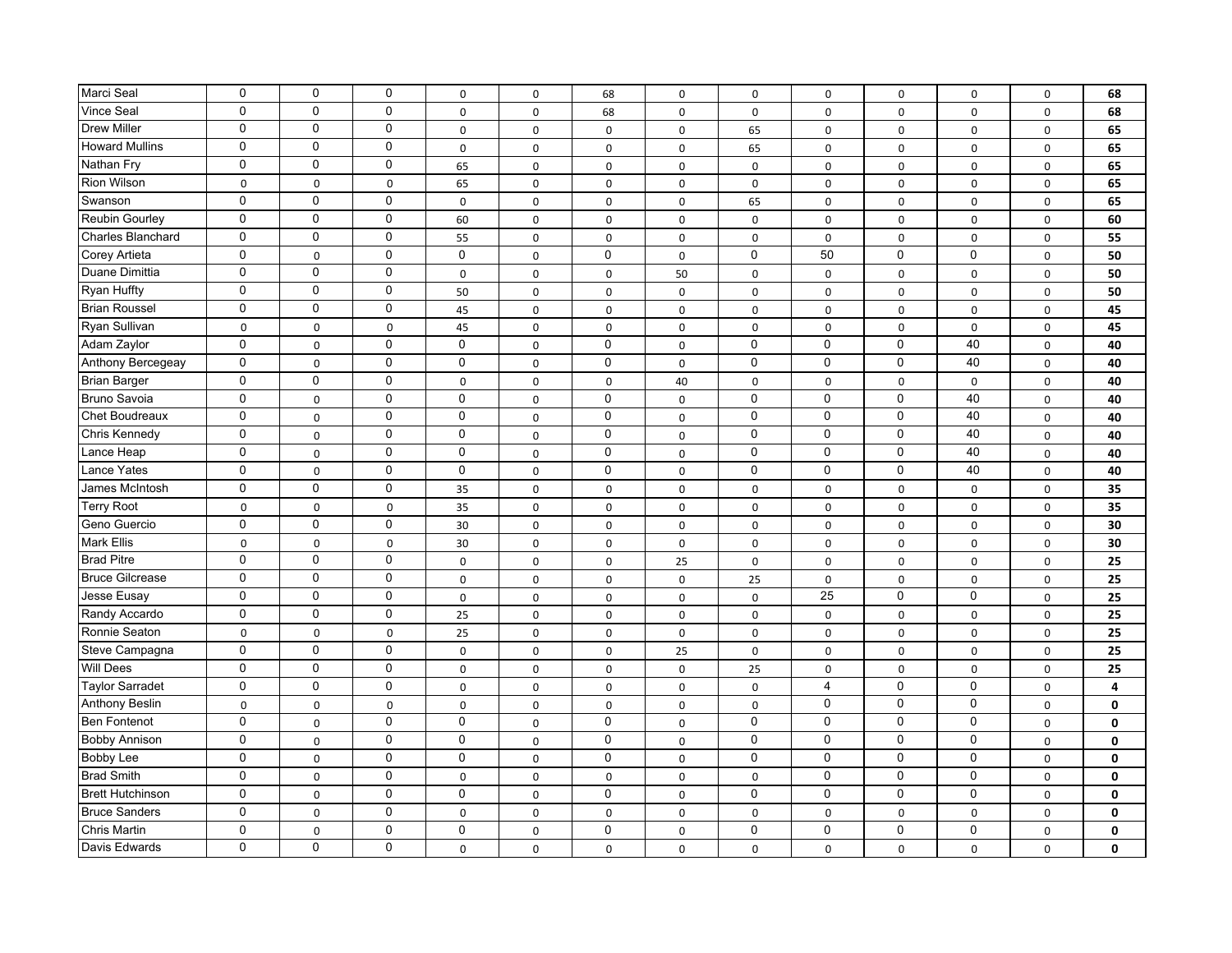| Marci Seal               | $\mathbf 0$ | $\mathbf 0$ | 0           | 0            | 0           | 68          | $\mathsf 0$         | 0           | $\mathbf 0$    | 0           | $\mathbf 0$ | $\mathsf 0$ | 68           |
|--------------------------|-------------|-------------|-------------|--------------|-------------|-------------|---------------------|-------------|----------------|-------------|-------------|-------------|--------------|
| <b>Vince Seal</b>        | $\mathbf 0$ | $\mathbf 0$ | 0           | $\mathbf 0$  | $\mathbf 0$ | 68          | $\mathbf 0$         | $\mathbf 0$ | $\mathbf 0$    | $\mathbf 0$ | $\mathbf 0$ | $\mathbf 0$ | 68           |
| <b>Drew Miller</b>       | $\mathbf 0$ | $\mathbf 0$ | 0           | $\mathbf 0$  | $\pmb{0}$   | $\mathsf 0$ | $\mathsf{O}\xspace$ | 65          | $\mathsf 0$    | $\mathbf 0$ | $\mathsf 0$ | $\mathsf 0$ | 65           |
| <b>Howard Mullins</b>    | 0           | $\mathbf 0$ | 0           | 0            | 0           | 0           | 0                   | 65          | $\mathbf 0$    | $\mathbf 0$ | $\mathbf 0$ | $\mathsf 0$ | 65           |
| Nathan Fry               | $\mathbf 0$ | $\mathbf 0$ | 0           | 65           | $\mathbf 0$ | $\mathbf 0$ | $\mathbf 0$         | $\mathbf 0$ | $\mathbf 0$    | $\mathbf 0$ | $\mathbf 0$ | $\mathbf 0$ | 65           |
| Rion Wilson              | $\mathbf 0$ | $\mathbf 0$ | $\pmb{0}$   | 65           | 0           | $\mathsf 0$ | 0                   | $\pmb{0}$   | $\mathbf 0$    | $\mathbf 0$ | $\pmb{0}$   | $\mathsf 0$ | 65           |
| Swanson                  | $\mathbf 0$ | $\mathbf 0$ | 0           | 0            | 0           | $\mathbf 0$ | 0                   | 65          | $\mathbf 0$    | 0           | $\mathbf 0$ | $\mathbf 0$ | 65           |
| <b>Reubin Gourley</b>    | $\mathbf 0$ | $\mathbf 0$ | $\mathbf 0$ | 60           | 0           | 0           | $\mathsf{O}$        | 0           | $\mathbf 0$    | $\mathbf 0$ | $\mathbf 0$ | 0           | 60           |
| <b>Charles Blanchard</b> | $\mathbf 0$ | $\mathbf 0$ | $\mathbf 0$ | 55           | 0           | 0           | 0                   | 0           | $\mathbf 0$    | $\mathbf 0$ | $\mathbf 0$ | $\mathsf 0$ | 55           |
| Corey Artieta            | $\mathbf 0$ | $\mathsf 0$ | $\mathbf 0$ | $\mathbf 0$  | 0           | $\mathbf 0$ | $\mathbf 0$         | $\mathbf 0$ | 50             | $\mathbf 0$ | $\mathbf 0$ | $\mathsf 0$ | 50           |
| Duane Dimittia           | $\mathbf 0$ | $\mathbf 0$ | $\mathbf 0$ | 0            | $\pmb{0}$   | $\mathsf 0$ | 50                  | $\pmb{0}$   | $\mathsf 0$    | 0           | $\pmb{0}$   | $\mathsf 0$ | 50           |
| <b>Ryan Huffty</b>       | $\mathbf 0$ | $\mathbf 0$ | $\mathbf 0$ | 50           | 0           | 0           | $\mathbf 0$         | 0           | $\mathbf 0$    | $\pmb{0}$   | $\mathsf 0$ | $\mathsf 0$ | 50           |
| <b>Brian Roussel</b>     | $\mathbf 0$ | $\mathbf 0$ | 0           | 45           | 0           | $\mathsf 0$ | 0                   | $\mathbf 0$ | $\mathbf 0$    | $\mathbf 0$ | $\pmb{0}$   | $\mathsf 0$ | 45           |
| Ryan Sullivan            | $\pmb{0}$   | $\mathbf 0$ | $\mathsf 0$ | 45           | 0           | $\mathsf 0$ | 0                   | 0           | $\mathbf 0$    | $\mathbf 0$ | $\mathsf 0$ | $\mathsf 0$ | 45           |
| Adam Zaylor              | $\mathbf 0$ | $\mathbf 0$ | 0           | $\mathbf 0$  | 0           | $\mathbf 0$ | 0                   | $\mathbf 0$ | $\mathbf 0$    | $\mathbf 0$ | 40          | $\mathbf 0$ | 40           |
| Anthony Bercegeay        | $\mathbf 0$ | $\mathbf 0$ | 0           | $\mathbf 0$  | 0           | $\pmb{0}$   | $\mathbf 0$         | 0           | $\mathbf 0$    | $\pmb{0}$   | 40          | $\mathbf 0$ | 40           |
| <b>Brian Barger</b>      | $\mathbf 0$ | $\mathbf 0$ | 0           | 0            | 0           | 0           | 40                  | $\mathbf 0$ | $\mathbf 0$    | $\mathbf 0$ | $\mathbf 0$ | $\mathbf 0$ | 40           |
| Bruno Savoia             | $\mathbf 0$ | 0           | 0           | $\mathbf 0$  | 0           | $\mathbf 0$ | 0                   | 0           | $\mathbf 0$    | $\mathbf 0$ | 40          | $\mathsf 0$ | 40           |
| Chet Boudreaux           | $\mathbf 0$ | 0           | 0           | 0            | 0           | $\mathbf 0$ | 0                   | 0           | $\mathbf 0$    | $\mathbf 0$ | 40          | $\mathsf 0$ | 40           |
| Chris Kennedy            | $\mathbf 0$ | 0           | $\pmb{0}$   | $\Omega$     | $\mathbf 0$ | 0           | 0                   | 0           | $\mathbf 0$    | $\mathbf 0$ | 40          | $\mathbf 0$ | 40           |
| Lance Heap               | $\mathbf 0$ | 0           | $\mathbf 0$ | 0            | 0           | 0           | $\mathbf 0$         | $\mathbf 0$ | $\mathbf 0$    | $\mathsf 0$ | 40          | $\mathsf 0$ | 40           |
| Lance Yates              | $\mathbf 0$ | $\mathbf 0$ | 0           | 0            | 0           | 0           | 0                   | 0           | $\mathbf 0$    | $\mathbf 0$ | 40          | $\mathsf 0$ | 40           |
| James McIntosh           | $\mathbf 0$ | $\mathbf 0$ | $\mathbf 0$ | 35           | 0           | 0           | $\mathbf 0$         | $\pmb{0}$   | $\mathbf 0$    | $\pmb{0}$   | $\pmb{0}$   | $\mathsf 0$ | 35           |
| <b>Terry Root</b>        | 0           | 0           | $\pmb{0}$   | 35           | 0           | 0           | 0                   | 0           | 0              | 0           | $\mathbf 0$ | 0           | 35           |
| Geno Guercio             | $\mathbf 0$ | $\mathbf 0$ | $\mathbf 0$ | 30           | 0           | 0           | 0                   | 0           | 0              | $\pmb{0}$   | $\mathbf 0$ | $\mathsf 0$ | 30           |
| <b>Mark Ellis</b>        | $\mathbf 0$ | $\mathbf 0$ | $\mathbf 0$ | 30           | $\mathbf 0$ | 0           | $\mathsf 0$         | $\mathbf 0$ | $\mathbf 0$    | 0           | $\mathbf 0$ | $\mathbf 0$ | 30           |
| <b>Brad Pitre</b>        | $\mathbf 0$ | $\mathbf 0$ | 0           | $\mathsf{o}$ | 0           | 0           | 25                  | 0           | $\mathbf 0$    | $\Omega$    | $\mathbf 0$ | $\mathsf 0$ | 25           |
| <b>Bruce Gilcrease</b>   | $\mathbf 0$ | $\mathbf 0$ | 0           | $\mathsf{O}$ | $\mathbf 0$ | 0           | $\mathbf 0$         | 25          | $\mathbf 0$    | $\mathbf 0$ | $\mathbf 0$ | $\mathsf 0$ | 25           |
| Jesse Eusay              | 0           | 0           | 0           | $\mathsf{o}$ | 0           | $\mathsf 0$ | $\mathsf 0$         | 0           | 25             | $\mathbf 0$ | 0           | $\mathsf 0$ | 25           |
| Randy Accardo            | $\mathbf 0$ | $\mathbf 0$ | 0           | 25           | 0           | 0           | $\mathsf 0$         | $\pmb{0}$   | $\mathbf 0$    | $\mathbf 0$ | $\mathbf 0$ | $\mathsf 0$ | 25           |
| Ronnie Seaton            | $\mathbf 0$ | $\mathbf 0$ | $\mathbf 0$ | 25           | 0           | 0           | $\mathsf{O}\xspace$ | $\mathbf 0$ | $\mathbf 0$    | 0           | $\mathbf 0$ | $\mathbf 0$ | 25           |
| Steve Campagna           | $\mathbf 0$ | $\mathbf 0$ | 0           | $\mathsf{o}$ | 0           | $\mathsf 0$ | 25                  | 0           | $\mathbf 0$    | $\pmb{0}$   | $\mathsf 0$ | $\mathsf 0$ | 25           |
| <b>Will Dees</b>         | $\mathbf 0$ | $\mathbf 0$ | 0           | 0            | 0           | 0           | $\mathsf{O}$        | 25          | $\mathbf 0$    | 0           | $\mathbf 0$ | $\mathbf 0$ | 25           |
| <b>Taylor Sarradet</b>   | $\mathbf 0$ | $\mathbf 0$ | 0           | 0            | 0           | 0           | 0                   | $\mathbf 0$ | $\overline{4}$ | $\mathbf 0$ | $\mathbf 0$ | $\mathbf 0$ | 4            |
| <b>Anthony Beslin</b>    | $\mathbf 0$ | $\mathbf 0$ | $\pmb{0}$   | 0            | 0           | 0           | 0                   | $\pmb{0}$   | $\mathbf 0$    | $\mathbf 0$ | $\mathbf 0$ | $\mathsf 0$ | 0            |
| <b>Ben Fontenot</b>      | $\mathbf 0$ | 0           | $\mathbf 0$ | $\mathbf 0$  | 0           | $\mathbf 0$ | $\mathsf 0$         | $\mathbf 0$ | $\mathbf 0$    | $\mathbf 0$ | $\mathbf 0$ | $\mathsf 0$ | 0            |
| <b>Bobby Annison</b>     | $\mathbf 0$ | 0           | $\mathbf 0$ | $\mathbf 0$  | 0           | $\mathbf 0$ | $\mathsf 0$         | $\mathbf 0$ | $\mathbf 0$    | $\mathbf 0$ | $\mathbf 0$ | $\mathsf 0$ | $\mathbf 0$  |
| Bobby Lee                | $\mathbf 0$ | 0           | $\mathbf 0$ | $\mathbf 0$  | 0           | 0           | $\mathbf 0$         | 0           | $\mathbf 0$    | $\mathsf 0$ | 0           | $\mathsf 0$ | $\mathbf 0$  |
| <b>Brad Smith</b>        | $\mathbf 0$ | $\mathbf 0$ | 0           | $\mathbf 0$  | $\mathbf 0$ | $\mathbf 0$ | $\mathsf{O}\xspace$ | $\mathbf 0$ | $\mathbf 0$    | $\mathbf 0$ | $\pmb{0}$   | $\mathbf 0$ | $\mathbf{0}$ |
| <b>Brett Hutchinson</b>  | $\mathbf 0$ | 0           | 0           | $\mathbf 0$  | 0           | $\mathbf 0$ | 0                   | 0           | $\mathbf 0$    | $\mathbf 0$ | $\mathbf 0$ | $\mathsf 0$ | $\mathbf 0$  |
| <b>Bruce Sanders</b>     | 0           | $\mathbf 0$ | 0           | 0            | $\mathbf 0$ | $\mathbf 0$ | $\mathbf 0$         | $\mathbf 0$ | $\mathbf 0$    | $\mathbf 0$ | $\mathbf 0$ | $\mathbf 0$ | $\mathbf 0$  |
| <b>Chris Martin</b>      | $\mathbf 0$ | 0           | 0           | $\mathbf 0$  | 0           | $\pmb{0}$   | 0                   | 0           | $\mathbf 0$    | $\mathbf 0$ | $\mathbf 0$ | $\mathbf 0$ | 0            |
| Davis Edwards            | 0           | $\mathbf 0$ | 0           | 0            | 0           | 0           | 0                   | $\mathbf 0$ | $\mathbf 0$    | $\mathbf 0$ | $\mathbf 0$ | 0           | 0            |